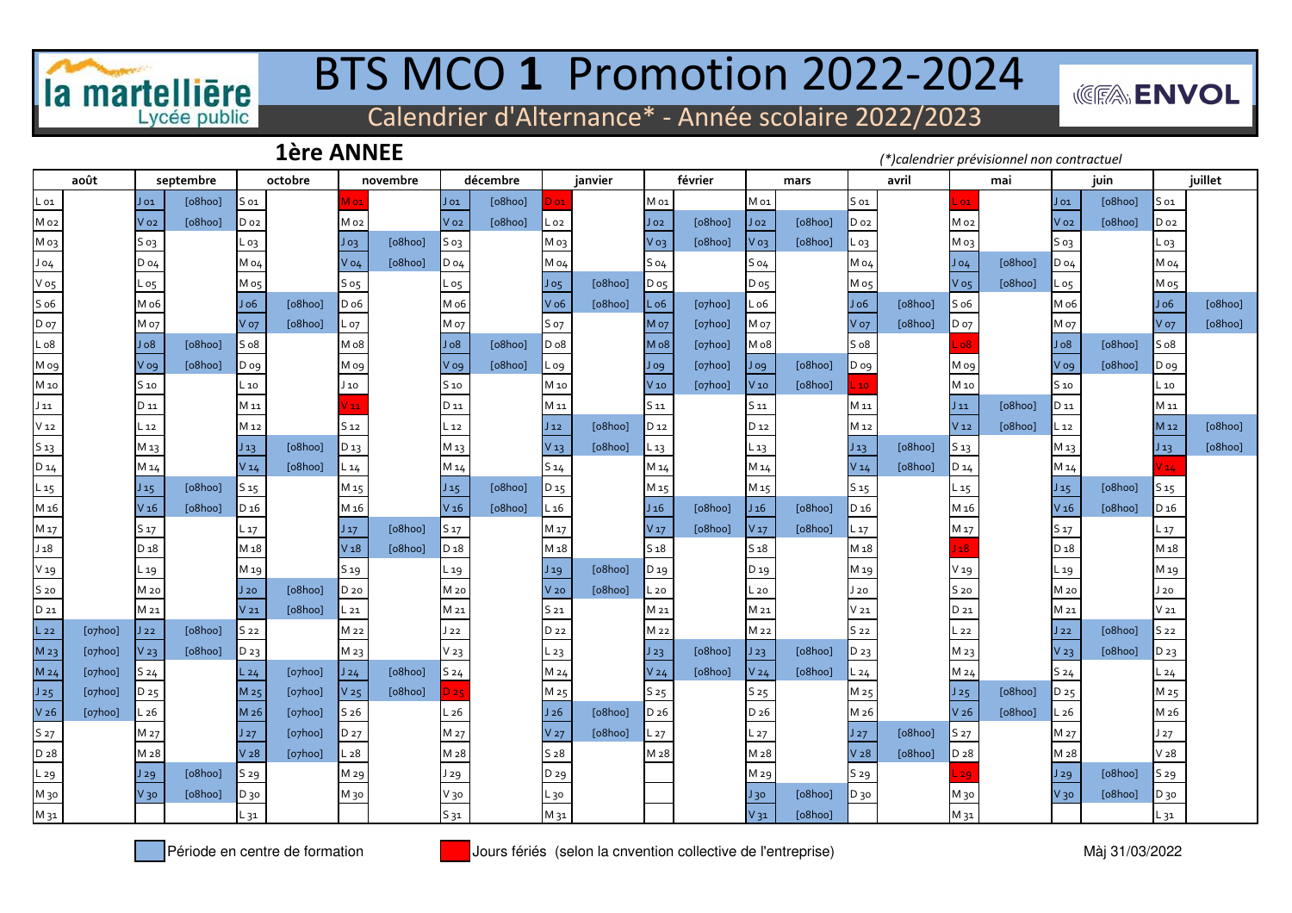

# BTS MCO **1** Promotion 2022-2024

**((图):ENVOL** 

Calendrier d'Alternance\* - Année scolaire 2022/2023

### **1ère ANNEE**

*(\*)calendrier prévisionnel non contractuel*

|                  | août                   |                  | septembre | octobre         |         | novembre        |         | décembre         |         | janvier          |         | février          |                        | mars            |         | avril           |         | mai              |         | juin            |         | juillet                    |         |
|------------------|------------------------|------------------|-----------|-----------------|---------|-----------------|---------|------------------|---------|------------------|---------|------------------|------------------------|-----------------|---------|-----------------|---------|------------------|---------|-----------------|---------|----------------------------|---------|
| L 01             |                        | $J_{01}$         | [o8hoo]   | S 01            |         | M 01            |         | Jo1              | [o8hoo] | 0 <sub>0</sub>   |         | M 01             |                        | M 01            |         | S <sub>01</sub> |         | .01              |         | Jo1             | [o8hoo] | S 01                       |         |
| Mo <sub>2</sub>  |                        | Vo <sub>2</sub>  | [o8hoo]   | D <sub>o2</sub> |         | M 02            |         | Vo <sub>2</sub>  | [o8hoo] | $L_{02}$         |         | Jo2              | [o8hoo]                | $J_{02}$        | [o8hoo] | $D_{02}$        |         | M 02             |         | Vo <sub>2</sub> | [o8hoo] | Do <sub>2</sub>            |         |
| Моз              |                        | S 03             |           | L 03            |         | $J_{O3}$        | [o8hoo] | S 03             |         | Моз              |         | V 03             | [o8hoo]                | V 03            | [o8hoo] | L 03            |         | Моз              |         | S 03            |         | L o3                       |         |
| Jo4              |                        | $D_04$           |           | M 04            |         | $V$ 04          | [o8hoo] | D 04             |         | M o4             |         | $S_04$           |                        | S <sub>04</sub> |         | M 04            |         | Jo4              | [o8hoo] | $D_04$          |         | M 04                       |         |
| V o5             |                        | $L_{05}$         |           | M 05            |         | $S$ os          |         | L o5             |         | $J_{05}$         | [o8hoo] | $D_{05}$         |                        | D <sub>05</sub> |         | M 05            |         | $V$ 05           | [o8hoo] | L 05            |         | M 05                       |         |
| S <sub>06</sub>  |                        | M o6             |           | J <sub>06</sub> | [o8hoo] | D o6            |         | M o6             |         | $V_{06}$         | [o8hoo] | $L_{06}$         | $[o$ <sub>7</sub> hoo] | $L_{06}$        |         | Jo6             | [o8hoo] | S <sub>06</sub>  |         | M o6            |         | Jo6                        | [o8hoo] |
| D <sub>o7</sub>  |                        | M o7             |           | V o7            | [o8hoo] | L 07            |         | M o7             |         | S 07             |         | Mo7              | $[o$ <sub>7</sub> hoo] | M 07            |         | V o7            | [o8hoo] | D 07             |         | M 07            |         | <b>V</b> 07                | [o8hoo] |
| L <sub>08</sub>  |                        | Jo8              | [o8hoo]   | S <sub>08</sub> |         | Mo8             |         | 8 <sub>o</sub>   | [o8hoo] | D <sub>o</sub> 8 |         | Mo8              | $[o$ <sub>7</sub> hoo] | M o8            |         | S <sub>08</sub> |         | o8               |         | 30L             | [o8hoo] | S <sub>08</sub>            |         |
| M og             |                        | V og             | [o8hoo]   | D og            |         | M og            |         | V og             | [o8hoo] | L og             |         | J og             | $[o$ <sub>7</sub> hoo] | J og            | [o8hoo] | D og            |         | M og             |         | V og            | [o8hoo] | D og                       |         |
| M 10             |                        | S 10             |           | L 10            |         | J 10            |         | S 10             |         | M 10             |         | $V$ 10           | $[o$ <sub>7</sub> hoo] | V10             | [o8hoo] |                 |         | M 10             |         | S <sub>10</sub> |         | $\_10$                     |         |
| $J_{11}$         |                        | D 11             |           | M 11            |         | 11              |         | D 11             |         | M 11             |         | 511              |                        | 511             |         | M 11            |         | $J_{11}$         | [o8hoo] | D 11            |         | M 11                       |         |
| V <sub>12</sub>  |                        | $\sqrt{12}$      |           | M 12            |         | 512             |         | $-12$            |         | $J_{12}$         | [o8hoo] | D <sub>12</sub>  |                        | D <sub>12</sub> |         | M 12            |         | V <sub>12</sub>  | [o8hoo] | $L_{12}$        |         | M <sub>12</sub>            | [o8hoo] |
| S 13             |                        | M 13             |           | $J_{13}$        | [o8hoo] | D 13            |         | M 13             |         | $V_1$ 3          | [o8hoo] | $L_{13}$         |                        | L 13            |         | $J_{13}$        | [o8hoo] | S <sub>13</sub>  |         | М 13            |         | $J_{13}$                   | [o8hoo] |
| D 14             |                        | M 14             |           | V <sub>14</sub> | [o8hoo] | $L_{14}$        |         | M 14             |         | S <sub>14</sub>  |         | M 14             |                        | M 14            |         | V14             | [o8hoo] | D 14             |         | M 14            |         | $V_14$                     |         |
| $L_{15}$         |                        | $J_{15}$         | [o8hoo]   | S <sub>15</sub> |         | M <sub>15</sub> |         | $J_{15}$         | [o8hoo] | D <sub>15</sub>  |         | M <sub>15</sub>  |                        | M 15            |         | S <sub>15</sub> |         | L 15             |         | $J_{15}$        | [o8hoo] | $\mathsf{S}\, \mathsf{15}$ |         |
| M <sub>16</sub>  |                        | V <sub>16</sub>  | [o8hoo]   | D <sub>16</sub> |         | M <sub>16</sub> |         | V <sub>16</sub>  | [o8hoo] | $L_{16}$         |         | J <sub>16</sub>  | [o8hoo]                | J <sub>16</sub> | [o8hoo] | D <sub>16</sub> |         | M <sub>16</sub>  |         | V <sub>16</sub> | [o8hoo] | D <sub>16</sub>            |         |
| M 17             |                        | S 17             |           | L 17            |         | $J_{17}$        | [o8hoo] | S 17             |         | M 17             |         | V <sub>17</sub>  | [o8hoo]                | V <sub>17</sub> | [o8hoo] | $L_{17}$        |         | M 17             |         | S 17            |         | L 17                       |         |
| ${\sf J}$ 18     |                        | D <sub>18</sub>  |           | M <sub>18</sub> |         | V <sub>18</sub> | [o8hoo] | D <sub>1</sub> 8 |         | M 18             |         | S <sub>18</sub>  |                        | 518             |         | M 18            |         | ${\bf 18}$       |         | $D_18$          |         | M <sub>18</sub>            |         |
| V <sub>19</sub>  |                        | L 19             |           | M 19            |         | S 19            |         | L 19             |         | $J_{19}$         | [o8hoo] | D 19             |                        | D <sub>19</sub> |         | M 19            |         | V <sub>19</sub>  |         | L 19            |         | M 19                       |         |
| S 20             |                        | M 20             |           | J20             | [o8hoo] | D 20            |         | M 20             |         | V <sub>20</sub>  | [o8hoo] | L 20             |                        | $L_{20}$        |         | J 20            |         | S <sub>20</sub>  |         | M 20            |         | J 20                       |         |
| D 21             |                        | M 21             |           | V <sub>21</sub> | [o8hoo] | L 21            |         | M 21             |         | S 21             |         | M 21             |                        | M 21            |         | $V_{21}$        |         | D 21             |         | M 21            |         | $V_{21}$                   |         |
| $L_{22}$         | [o7hoo]                | J22              | [o8hoo]   | S <sub>22</sub> |         | M 22            |         | $J_{22}$         |         | D 22             |         | M <sub>22</sub>  |                        | M 22            |         | S <sub>22</sub> |         | L 22             |         | $J_{22}$        | [o8hoo] | S <sub>22</sub>            |         |
| M 23             | $[o$ <sub>7</sub> hoo] | V <sub>23</sub>  | [o8hoo]   | D 23            |         | M 23            |         | V <sub>23</sub>  |         | L 23             |         | $J_{23}$         | [o8hoo]                | $J_{23}$        | [o8hoo] | D <sub>23</sub> |         | M 23             |         | V <sub>23</sub> | [o8hoo] | D 23                       |         |
| M 24             | $[o$ <sub>7</sub> hoo] | S <sub>24</sub>  |           | $L_{24}$        | [o7hoo] | J24             | [o8hoo] | S <sub>24</sub>  |         | M 24             |         | V <sub>24</sub>  | [o8hoo]                | V <sub>24</sub> | [o8hoo] | L 24            |         | M 24             |         | S <sub>24</sub> |         | L 24                       |         |
| J25              | $[o$ <sub>7</sub> hoo] | D 25             |           | M <sub>25</sub> | [o7hoo] | V <sub>25</sub> | [o8hoo] | 25               |         | M 25             |         | S <sub>25</sub>  |                        | S 25            |         | M 25            |         | $J_{25}$         | [o8hoo] | D <sub>25</sub> |         | M 25                       |         |
| V <sub>26</sub>  | $[o$ <sub>7</sub> hoo] | $\sqrt{26}$      |           | M <sub>26</sub> | [o7hoo] | S <sub>26</sub> |         | $L_{26}$         |         | J26              | [o8hoo] | D <sub>26</sub>  |                        | D <sub>26</sub> |         | M 26            |         | V <sub>26</sub>  | [o8hoo] | $L_{26}$        |         | M 26                       |         |
| S 27             |                        | M 27             |           | J27             | [o7hoo] | D 27            |         | M 27             |         | V <sub>27</sub>  | [o8hoo] | L 27             |                        | $L_{27}$        |         | J27             | [o8hoo] | S 27             |         | M 27            |         | J27                        |         |
| D <sub>2</sub> 8 |                        | M <sub>2</sub> 8 |           | V <sub>28</sub> | [o7hoo] | L <sub>28</sub> |         | M <sub>2</sub> 8 |         | S <sub>28</sub>  |         | M <sub>2</sub> 8 |                        | M 28            |         | V <sub>28</sub> | [o8hoo] | D <sub>2</sub> 8 |         | M <sub>28</sub> |         | V <sub>28</sub>            |         |
| L29              |                        | J29              | [o8hoo]   | S 29            |         | M 29            |         | J 29             |         | D 29             |         |                  |                        | M 29            |         | S 29            |         | 29               |         | J29             | [o8hoo] | S 29                       |         |
| M 30             |                        | $V_3$            | [o8hoo]   | D 30            |         | М зо            |         | V 30             |         | L 30             |         |                  |                        | $J_{30}$        | [o8hoo] | D 30            |         | М 30             |         | $V_3$ o         | [o8hoo] | D 30                       |         |
| M 31             |                        |                  |           | L 31            |         |                 |         | $S_31$           |         | M 31             |         |                  |                        | $V_31$          | [o8hoo] |                 |         | M 31             |         |                 |         | L 31                       |         |